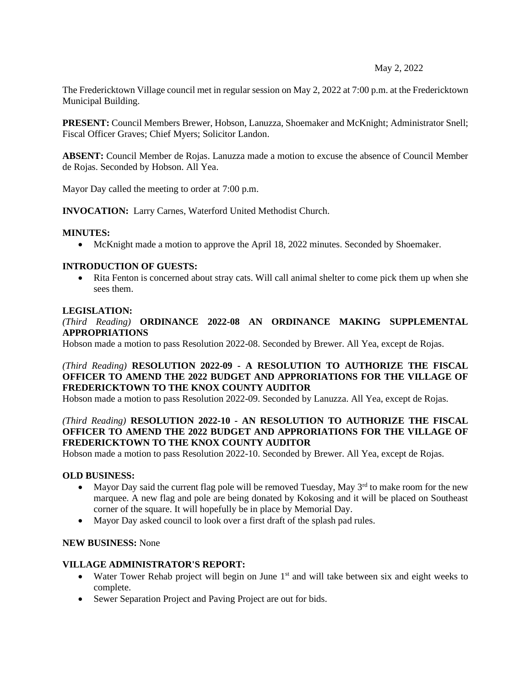### May 2, 2022

The Fredericktown Village council met in regular session on May 2, 2022 at 7:00 p.m. at the Fredericktown Municipal Building.

**PRESENT:** Council Members Brewer, Hobson, Lanuzza, Shoemaker and McKnight; Administrator Snell; Fiscal Officer Graves; Chief Myers; Solicitor Landon.

**ABSENT:** Council Member de Rojas. Lanuzza made a motion to excuse the absence of Council Member de Rojas. Seconded by Hobson. All Yea.

Mayor Day called the meeting to order at 7:00 p.m.

**INVOCATION:** Larry Carnes, Waterford United Methodist Church.

### **MINUTES:**

• McKnight made a motion to approve the April 18, 2022 minutes. Seconded by Shoemaker.

### **INTRODUCTION OF GUESTS:**

• Rita Fenton is concerned about stray cats. Will call animal shelter to come pick them up when she sees them.

### **LEGISLATION:**

*(Third Reading)* **ORDINANCE 2022-08 AN ORDINANCE MAKING SUPPLEMENTAL APPROPRIATIONS**

Hobson made a motion to pass Resolution 2022-08. Seconded by Brewer. All Yea, except de Rojas.

# *(Third Reading)* **RESOLUTION 2022-09 - A RESOLUTION TO AUTHORIZE THE FISCAL OFFICER TO AMEND THE 2022 BUDGET AND APPRORIATIONS FOR THE VILLAGE OF FREDERICKTOWN TO THE KNOX COUNTY AUDITOR**

Hobson made a motion to pass Resolution 2022-09. Seconded by Lanuzza. All Yea, except de Rojas.

## *(Third Reading)* **RESOLUTION 2022-10 - AN RESOLUTION TO AUTHORIZE THE FISCAL OFFICER TO AMEND THE 2022 BUDGET AND APPRORIATIONS FOR THE VILLAGE OF FREDERICKTOWN TO THE KNOX COUNTY AUDITOR**

Hobson made a motion to pass Resolution 2022-10. Seconded by Brewer. All Yea, except de Rojas.

#### **OLD BUSINESS:**

- Mayor Day said the current flag pole will be removed Tuesday, May  $3<sup>rd</sup>$  to make room for the new marquee. A new flag and pole are being donated by Kokosing and it will be placed on Southeast corner of the square. It will hopefully be in place by Memorial Day.
- Mayor Day asked council to look over a first draft of the splash pad rules.

#### **NEW BUSINESS:** None

## **VILLAGE ADMINISTRATOR'S REPORT:**

- Water Tower Rehab project will begin on June  $1<sup>st</sup>$  and will take between six and eight weeks to complete.
- Sewer Separation Project and Paving Project are out for bids.